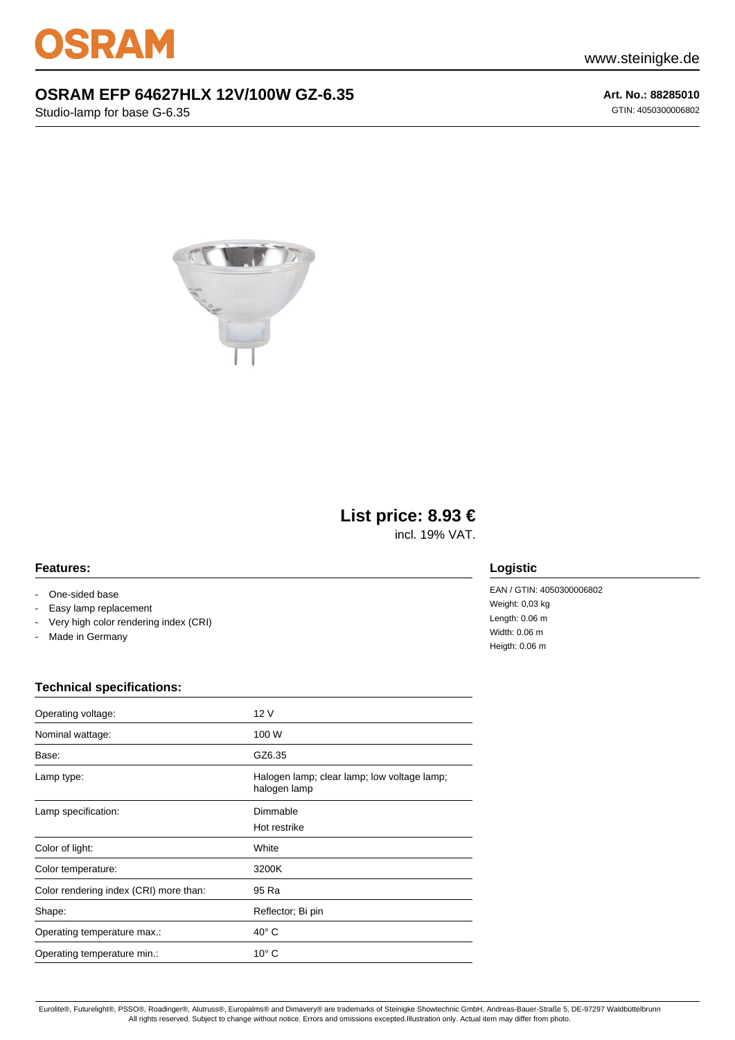

## **OSRAM EFP 64627HLX 12V/100W GZ-6.35**

Studio-lamp for base G-6.35

**Art. No.: 88285010** GTIN: 4050300006802



# **List price: 8.93 €**

incl. 19% VAT.

#### **Features:**

- One-sided base
- Easy lamp replacement
- Very high color rendering index (CRI)
- Made in Germany

### **Logistic**

EAN / GTIN: 4050300006802 Weight: 0,03 kg Length: 0.06 m Width: 0.06 m Heigth: 0.06 m

#### **Technical specifications:**

| Operating voltage:                     | 12V                                                         |
|----------------------------------------|-------------------------------------------------------------|
| Nominal wattage:                       | 100 W                                                       |
| Base:                                  | GZ6.35                                                      |
| Lamp type:                             | Halogen lamp; clear lamp; low voltage lamp;<br>halogen lamp |
| Lamp specification:                    | Dimmable<br>Hot restrike                                    |
| Color of light:                        | White                                                       |
| Color temperature:                     | 3200K                                                       |
| Color rendering index (CRI) more than: | 95 Ra                                                       |
| Shape:                                 | Reflector; Bi pin                                           |
| Operating temperature max.:            | $40^{\circ}$ C                                              |
| Operating temperature min.:            | $10^{\circ}$ C                                              |

Eurolite®, Futurelight®, PSSO®, Roadinger®, Alutruss®, Europalms® and Dimavery® are trademarks of Steinigke Showtechnic GmbH, Andreas-Bauer-Straße 5, DE-97297 Waldbüttelbrunn All rights reserved. Subject to change without notice. Errors and omissions excepted.Illustration only. Actual item may differ from photo.